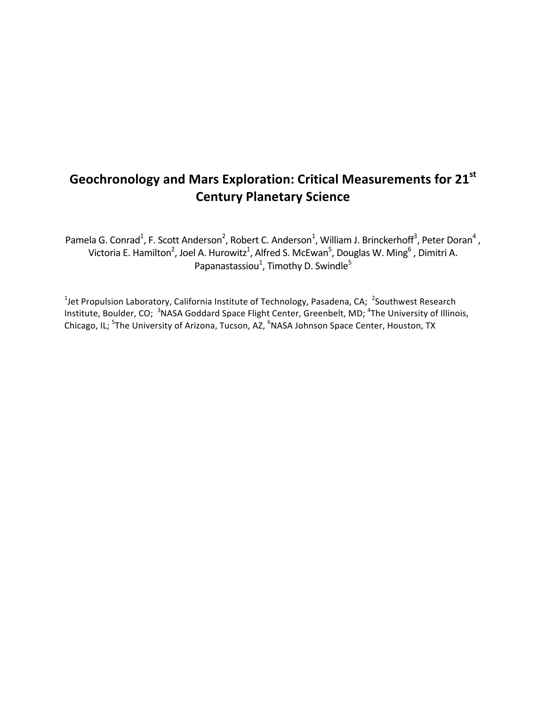# **Geochronology and Mars Exploration: Critical Measurements for 21st Century Planetary Science**

Pamela G. Conrad<sup>1</sup>, F. Scott Anderson<sup>2</sup>, Robert C. Anderson<sup>1</sup>, William J. Brinckerhoff<sup>3</sup>, Peter Doran<sup>4</sup> , Victoria E. Hamilton<sup>2</sup>, Joel A. Hurowitz<sup>1</sup>, Alfred S. McEwan<sup>5</sup>, Douglas W. Ming<sup>6</sup> , Dimitri A. Papanastassiou<sup>1</sup>, Timothy D. Swindle<sup>5</sup>

<sup>1</sup>Jet Propulsion Laboratory, California Institute of Technology, Pasadena, CA; <sup>2</sup>Southwest Research Institute, Boulder, CO; <sup>3</sup>NASA Goddard Space Flight Center, Greenbelt, MD; <sup>4</sup>The University of Illinois, Chicago, IL; <sup>5</sup>The University of Arizona, Tucson, AZ, <sup>6</sup>NASA Johnson Space Center, Houston, TX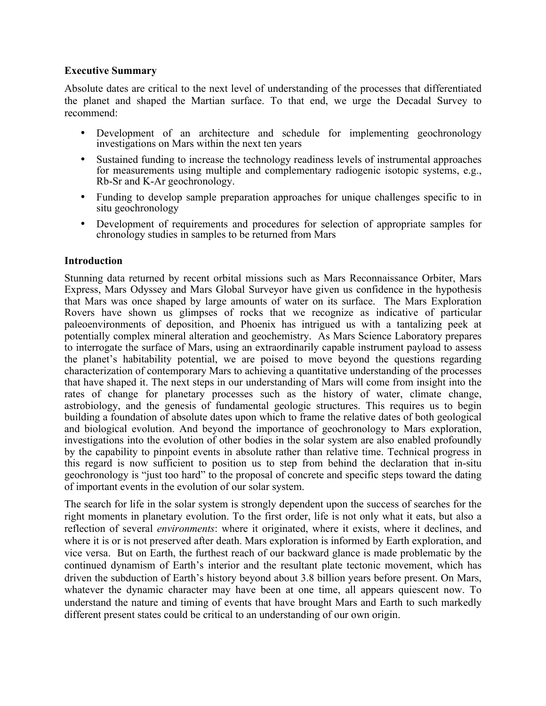#### **Executive Summary**

Absolute dates are critical to the next level of understanding of the processes that differentiated the planet and shaped the Martian surface. To that end, we urge the Decadal Survey to recommend:

- Development of an architecture and schedule for implementing geochronology investigations on Mars within the next ten years
- Sustained funding to increase the technology readiness levels of instrumental approaches for measurements using multiple and complementary radiogenic isotopic systems, e.g., Rb-Sr and K-Ar geochronology.
- Funding to develop sample preparation approaches for unique challenges specific to in situ geochronology
- Development of requirements and procedures for selection of appropriate samples for chronology studies in samples to be returned from Mars

## **Introduction**

Stunning data returned by recent orbital missions such as Mars Reconnaissance Orbiter, Mars Express, Mars Odyssey and Mars Global Surveyor have given us confidence in the hypothesis that Mars was once shaped by large amounts of water on its surface. The Mars Exploration Rovers have shown us glimpses of rocks that we recognize as indicative of particular paleoenvironments of deposition, and Phoenix has intrigued us with a tantalizing peek at potentially complex mineral alteration and geochemistry. As Mars Science Laboratory prepares to interrogate the surface of Mars, using an extraordinarily capable instrument payload to assess the planet's habitability potential, we are poised to move beyond the questions regarding characterization of contemporary Mars to achieving a quantitative understanding of the processes that have shaped it. The next steps in our understanding of Mars will come from insight into the rates of change for planetary processes such as the history of water, climate change, astrobiology, and the genesis of fundamental geologic structures. This requires us to begin building a foundation of absolute dates upon which to frame the relative dates of both geological and biological evolution. And beyond the importance of geochronology to Mars exploration, investigations into the evolution of other bodies in the solar system are also enabled profoundly by the capability to pinpoint events in absolute rather than relative time. Technical progress in this regard is now sufficient to position us to step from behind the declaration that in-situ geochronology is "just too hard" to the proposal of concrete and specific steps toward the dating of important events in the evolution of our solar system.

The search for life in the solar system is strongly dependent upon the success of searches for the right moments in planetary evolution. To the first order, life is not only what it eats, but also a reflection of several *environments*: where it originated, where it exists, where it declines, and where it is or is not preserved after death. Mars exploration is informed by Earth exploration, and vice versa. But on Earth, the furthest reach of our backward glance is made problematic by the continued dynamism of Earth's interior and the resultant plate tectonic movement, which has driven the subduction of Earth's history beyond about 3.8 billion years before present. On Mars, whatever the dynamic character may have been at one time, all appears quiescent now. To understand the nature and timing of events that have brought Mars and Earth to such markedly different present states could be critical to an understanding of our own origin.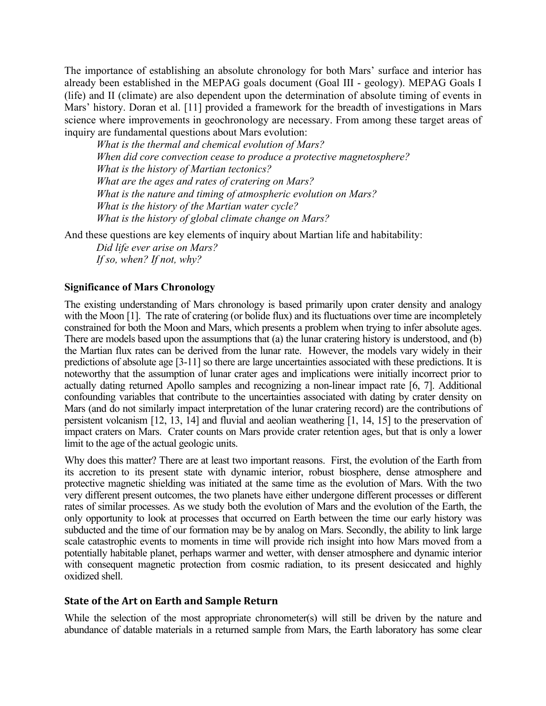The importance of establishing an absolute chronology for both Mars' surface and interior has already been established in the MEPAG goals document (Goal III - geology). MEPAG Goals I (life) and II (climate) are also dependent upon the determination of absolute timing of events in Mars' history. Doran et al. [11] provided a framework for the breadth of investigations in Mars science where improvements in geochronology are necessary. From among these target areas of inquiry are fundamental questions about Mars evolution:

*What is the thermal and chemical evolution of Mars? When did core convection cease to produce a protective magnetosphere? What is the history of Martian tectonics? What are the ages and rates of cratering on Mars? What is the nature and timing of atmospheric evolution on Mars? What is the history of the Martian water cycle? What is the history of global climate change on Mars?*

And these questions are key elements of inquiry about Martian life and habitability:

*Did life ever arise on Mars? If so, when? If not, why?*

#### **Significance of Mars Chronology**

The existing understanding of Mars chronology is based primarily upon crater density and analogy with the Moon [1]. The rate of cratering (or bolide flux) and its fluctuations over time are incompletely constrained for both the Moon and Mars, which presents a problem when trying to infer absolute ages. There are models based upon the assumptions that (a) the lunar cratering history is understood, and (b) the Martian flux rates can be derived from the lunar rate. However, the models vary widely in their predictions of absolute age [3-11] so there are large uncertainties associated with these predictions. It is noteworthy that the assumption of lunar crater ages and implications were initially incorrect prior to actually dating returned Apollo samples and recognizing a non-linear impact rate [6, 7]. Additional confounding variables that contribute to the uncertainties associated with dating by crater density on Mars (and do not similarly impact interpretation of the lunar cratering record) are the contributions of persistent volcanism [12, 13, 14] and fluvial and aeolian weathering [1, 14, 15] to the preservation of impact craters on Mars. Crater counts on Mars provide crater retention ages, but that is only a lower limit to the age of the actual geologic units.

Why does this matter? There are at least two important reasons. First, the evolution of the Earth from its accretion to its present state with dynamic interior, robust biosphere, dense atmosphere and protective magnetic shielding was initiated at the same time as the evolution of Mars. With the two very different present outcomes, the two planets have either undergone different processes or different rates of similar processes. As we study both the evolution of Mars and the evolution of the Earth, the only opportunity to look at processes that occurred on Earth between the time our early history was subducted and the time of our formation may be by analog on Mars. Secondly, the ability to link large scale catastrophic events to moments in time will provide rich insight into how Mars moved from a potentially habitable planet, perhaps warmer and wetter, with denser atmosphere and dynamic interior with consequent magnetic protection from cosmic radiation, to its present desiccated and highly oxidized shell.

#### **State
of
the
Art
on
Earth
and
Sample
Return**

While the selection of the most appropriate chronometer(s) will still be driven by the nature and abundance of datable materials in a returned sample from Mars, the Earth laboratory has some clear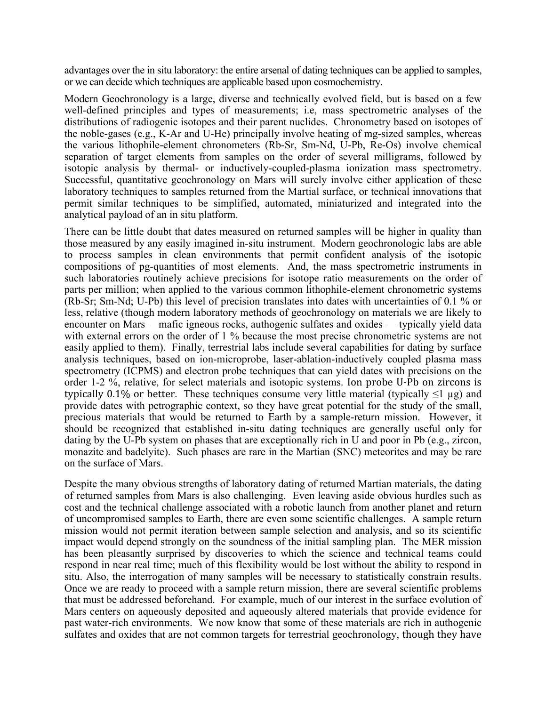advantages over the in situ laboratory: the entire arsenal of dating techniques can be applied to samples, or we can decide which techniques are applicable based upon cosmochemistry.

Modern Geochronology is a large, diverse and technically evolved field, but is based on a few well-defined principles and types of measurements; i.e, mass spectrometric analyses of the distributions of radiogenic isotopes and their parent nuclides. Chronometry based on isotopes of the noble-gases (e.g., K-Ar and U-He) principally involve heating of mg-sized samples, whereas the various lithophile-element chronometers (Rb-Sr, Sm-Nd, U-Pb, Re-Os) involve chemical separation of target elements from samples on the order of several milligrams, followed by isotopic analysis by thermal- or inductively-coupled-plasma ionization mass spectrometry. Successful, quantitative geochronology on Mars will surely involve either application of these laboratory techniques to samples returned from the Martial surface, or technical innovations that permit similar techniques to be simplified, automated, miniaturized and integrated into the analytical payload of an in situ platform.

There can be little doubt that dates measured on returned samples will be higher in quality than those measured by any easily imagined in-situ instrument. Modern geochronologic labs are able to process samples in clean environments that permit confident analysis of the isotopic compositions of pg-quantities of most elements. And, the mass spectrometric instruments in such laboratories routinely achieve precisions for isotope ratio measurements on the order of parts per million; when applied to the various common lithophile-element chronometric systems (Rb-Sr; Sm-Nd; U-Pb) this level of precision translates into dates with uncertainties of 0.1 % or less, relative (though modern laboratory methods of geochronology on materials we are likely to encounter on Mars —mafic igneous rocks, authogenic sulfates and oxides — typically yield data with external errors on the order of 1 % because the most precise chronometric systems are not easily applied to them). Finally, terrestrial labs include several capabilities for dating by surface analysis techniques, based on ion-microprobe, laser-ablation-inductively coupled plasma mass spectrometry (ICPMS) and electron probe techniques that can yield dates with precisions on the order 1-2 %, relative, for select materials and isotopic systems. Ion probe U-Pb on zircons is typically 0.1% or better. These techniques consume very little material (typically  $\leq 1 \mu$ g) and provide dates with petrographic context, so they have great potential for the study of the small, precious materials that would be returned to Earth by a sample-return mission. However, it should be recognized that established in-situ dating techniques are generally useful only for dating by the U-Pb system on phases that are exceptionally rich in U and poor in Pb (e.g., zircon, monazite and badelyite). Such phases are rare in the Martian (SNC) meteorites and may be rare on the surface of Mars.

Despite the many obvious strengths of laboratory dating of returned Martian materials, the dating of returned samples from Mars is also challenging. Even leaving aside obvious hurdles such as cost and the technical challenge associated with a robotic launch from another planet and return of uncompromised samples to Earth, there are even some scientific challenges. A sample return mission would not permit iteration between sample selection and analysis, and so its scientific impact would depend strongly on the soundness of the initial sampling plan. The MER mission has been pleasantly surprised by discoveries to which the science and technical teams could respond in near real time; much of this flexibility would be lost without the ability to respond in situ. Also, the interrogation of many samples will be necessary to statistically constrain results. Once we are ready to proceed with a sample return mission, there are several scientific problems that must be addressed beforehand. For example, much of our interest in the surface evolution of Mars centers on aqueously deposited and aqueously altered materials that provide evidence for past water-rich environments. We now know that some of these materials are rich in authogenic sulfates and oxides that are not common targets for terrestrial geochronology, though
they
have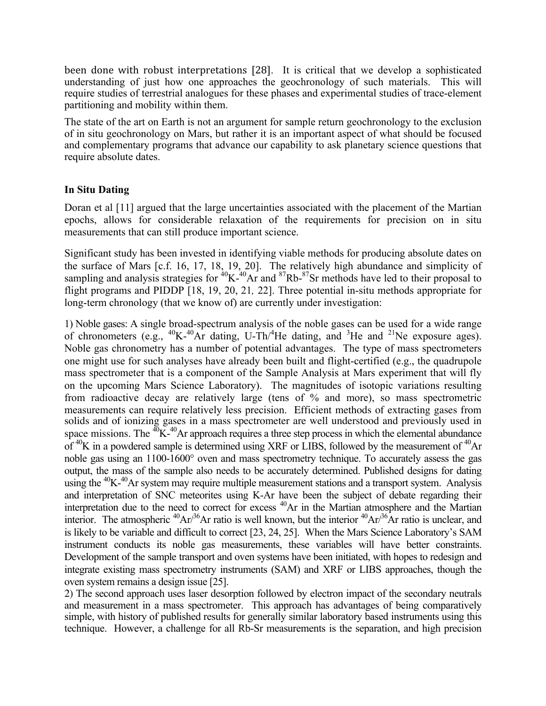been done with robust interpretations [28]. It is critical that we develop a sophisticated understanding of just how one approaches the geochronology of such materials. This will require studies of terrestrial analogues for these phases and experimental studies of trace-element partitioning and mobility within them.

The state of the art on Earth is not an argument for sample return geochronology to the exclusion of in situ geochronology on Mars, but rather it is an important aspect of what should be focused and complementary programs that advance our capability to ask planetary science questions that require absolute dates.

## **In Situ Dating**

Doran et al [11] argued that the large uncertainties associated with the placement of the Martian epochs, allows for considerable relaxation of the requirements for precision on in situ measurements that can still produce important science.

Significant study has been invested in identifying viable methods for producing absolute dates on the surface of Mars [c.f. 16, 17, 18, 19, 20]. The relatively high abundance and simplicity of sampling and analysis strategies for  ${}^{40}$ K- ${}^{40}$ Ar and  ${}^{87}$ Rb- ${}^{87}$ Sr methods have led to their proposal to flight programs and PIDDP [18, 19, 20, 21*,* 22]. Three potential in-situ methods appropriate for long-term chronology (that we know of) are currently under investigation:

1) Noble gases: A single broad-spectrum analysis of the noble gases can be used for a wide range of chronometers (e.g.,  $^{40}$ K- $^{40}$ Ar dating, U-Th/ $^{4}$ He dating, and  $^{3}$ He and  $^{21}$ Ne exposure ages). Noble gas chronometry has a number of potential advantages. The type of mass spectrometers one might use for such analyses have already been built and flight-certified (e.g., the quadrupole mass spectrometer that is a component of the Sample Analysis at Mars experiment that will fly on the upcoming Mars Science Laboratory). The magnitudes of isotopic variations resulting from radioactive decay are relatively large (tens of % and more), so mass spectrometric measurements can require relatively less precision. Efficient methods of extracting gases from solids and of ionizing gases in a mass spectrometer are well understood and previously used in space missions. The  ${}^{40}$ K- ${}^{40}$ Ar approach requires a three step process in which the elemental abundance of  ${}^{40}$ K in a powdered sample is determined using XRF or LIBS, followed by the measurement of  ${}^{40}$ Ar noble gas using an 1100-1600° oven and mass spectrometry technique. To accurately assess the gas output, the mass of the sample also needs to be accurately determined. Published designs for dating using the <sup>40</sup>K-<sup>40</sup>Ar system may require multiple measurement stations and a transport system. Analysis and interpretation of SNC meteorites using K-Ar have been the subject of debate regarding their interpretation due to the need to correct for excess <sup>40</sup>Ar in the Martian atmosphere and the Martian interior. The atmospheric  ${}^{40}Ar/{}^{36}Ar$  ratio is well known, but the interior  ${}^{40}Ar/{}^{36}Ar$  ratio is unclear, and is likely to be variable and difficult to correct [23, 24, 25]. When the Mars Science Laboratory's SAM instrument conducts its noble gas measurements, these variables will have better constraints. Development of the sample transport and oven systems have been initiated, with hopes to redesign and integrate existing mass spectrometry instruments (SAM) and XRF or LIBS approaches, though the oven system remains a design issue [25].

2) The second approach uses laser desorption followed by electron impact of the secondary neutrals and measurement in a mass spectrometer. This approach has advantages of being comparatively simple, with history of published results for generally similar laboratory based instruments using this technique. However, a challenge for all Rb-Sr measurements is the separation, and high precision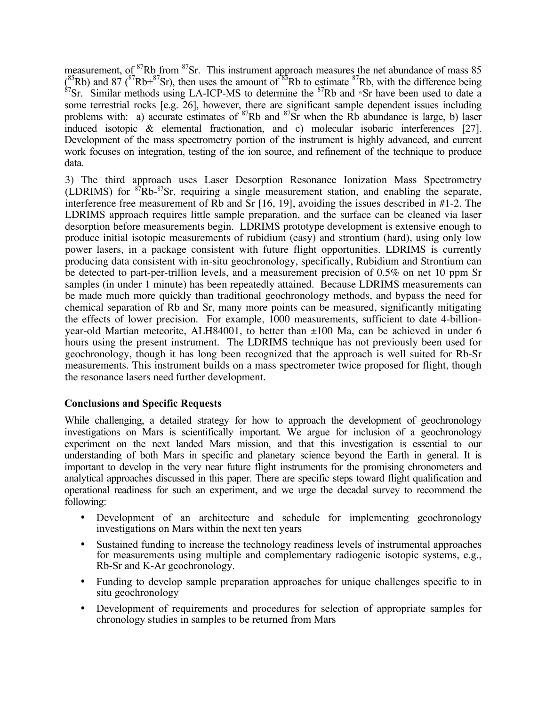measurement, of <sup>87</sup>Rb from <sup>87</sup>Sr. This instrument approach measures the net abundance of mass 85  $\binom{85}{8}$ Rb) and  $\binom{87}{8}$ Rb+ $\binom{87}{8}$ Sr), then uses the amount of  $\binom{85}{8}$ Rb to estimate  $\binom{87}{8}$ Rb, with the difference being  $\binom{87}{8}$ Sr. Similar methods using LA-ICP-MS to determine the  $\binom{87}{8}$ Rb and some terrestrial rocks [e.g. 26], however, there are significant sample dependent issues including problems with: a) accurate estimates of  ${}^{87}$ Rb and  ${}^{87}$ Sr when the Rb abundance is large, b) laser induced isotopic & elemental fractionation, and c) molecular isobaric interferences [27]. Development of the mass spectrometry portion of the instrument is highly advanced, and current work focuses on integration, testing of the ion source, and refinement of the technique to produce data.

3) The third approach uses Laser Desorption Resonance Ionization Mass Spectrometry (LDRIMS) for  ${}^{87}Rb-{}^{87}Sr$ , requiring a single measurement station, and enabling the separate, interference free measurement of Rb and Sr [16, 19], avoiding the issues described in #1-2. The LDRIMS approach requires little sample preparation, and the surface can be cleaned via laser desorption before measurements begin. LDRIMS prototype development is extensive enough to produce initial isotopic measurements of rubidium (easy) and strontium (hard), using only low power lasers, in a package consistent with future flight opportunities. LDRIMS is currently producing data consistent with in-situ geochronology, specifically, Rubidium and Strontium can be detected to part-per-trillion levels, and a measurement precision of 0.5% on net 10 ppm Sr samples (in under 1 minute) has been repeatedly attained. Because LDRIMS measurements can be made much more quickly than traditional geochronology methods, and bypass the need for chemical separation of Rb and Sr, many more points can be measured, significantly mitigating the effects of lower precision. For example, 1000 measurements, sufficient to date 4-billionyear-old Martian meteorite, ALH84001, to better than ±100 Ma, can be achieved in under 6 hours using the present instrument. The LDRIMS technique has not previously been used for geochronology, though it has long been recognized that the approach is well suited for Rb-Sr measurements. This instrument builds on a mass spectrometer twice proposed for flight, though the resonance lasers need further development.

## **Conclusions and Specific Requests**

While challenging, a detailed strategy for how to approach the development of geochronology investigations on Mars is scientifically important. We argue for inclusion of a geochronology experiment on the next landed Mars mission, and that this investigation is essential to our understanding of both Mars in specific and planetary science beyond the Earth in general. It is important to develop in the very near future flight instruments for the promising chronometers and analytical approaches discussed in this paper. There are specific steps toward flight qualification and operational readiness for such an experiment, and we urge the decadal survey to recommend the following:

- Development of an architecture and schedule for implementing geochronology investigations on Mars within the next ten years
- Sustained funding to increase the technology readiness levels of instrumental approaches for measurements using multiple and complementary radiogenic isotopic systems, e.g., Rb-Sr and K-Ar geochronology.
- Funding to develop sample preparation approaches for unique challenges specific to in situ geochronology
- Development of requirements and procedures for selection of appropriate samples for chronology studies in samples to be returned from Mars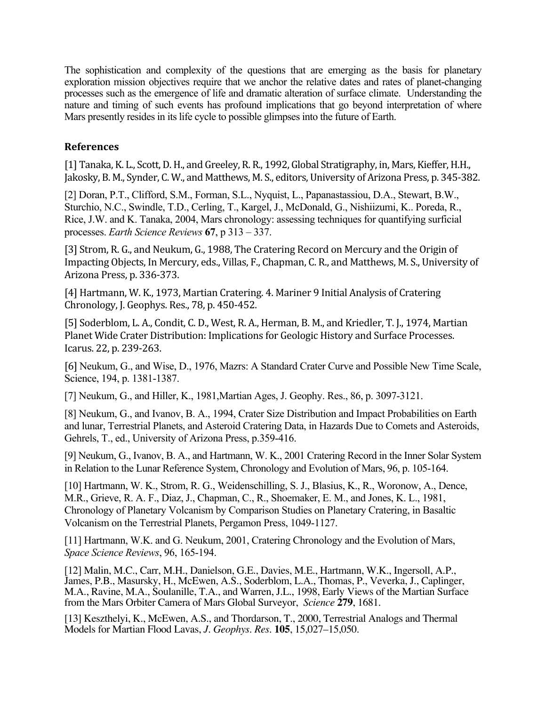The sophistication and complexity of the questions that are emerging as the basis for planetary exploration mission objectives require that we anchor the relative dates and rates of planet-changing processes such as the emergence of life and dramatic alteration of surface climate. Understanding the nature and timing of such events has profound implications that go beyond interpretation of where Mars presently resides in its life cycle to possible glimpses into the future of Earth.

## **References**

[1] Tanaka, K. L., Scott, D. H., and Greeley, R. R., 1992, Global Stratigraphy, in, Mars, Kieffer, H.H., Jakosky, B. M., Synder, C. W., and Matthews, M. S., editors, University of Arizona Press, p. 345‐382.

[2] Doran, P.T., Clifford, S.M., Forman, S.L., Nyquist, L., Papanastassiou, D.A., Stewart, B.W., Sturchio, N.C., Swindle, T.D., Cerling, T., Kargel, J., McDonald, G., Nishiizumi, K.. Poreda, R., Rice, J.W. and K. Tanaka, 2004, Mars chronology: assessing techniques for quantifying surficial processes. *Earth Science Reviews* **67**, p 313 – 337.

[3] Strom, R. G., and Neukum, G., 1988, The Cratering Record on Mercury and the Origin of Impacting Objects, In Mercury, eds., Villas, F., Chapman, C. R., and Matthews, M. S., University of Arizona Press, p. 336‐373.

[4] Hartmann, W. K., 1973, Martian Cratering. 4. Mariner 9 Initial Analysis of Cratering Chronology, J. Geophys. Res., 78, p. 450‐452.

[5] Soderblom, L. A., Condit, C. D., West, R. A., Herman, B. M., and Kriedler, T. J., 1974, Martian Planet Wide Crater Distribution: Implications for Geologic History and Surface Processes. Icarus. 22, p. 239‐263.

[6] Neukum, G., and Wise, D., 1976, Mazrs: A Standard Crater Curve and Possible New Time Scale, Science, 194, p. 1381-1387.

[7] Neukum, G., and Hiller, K., 1981,Martian Ages, J. Geophy. Res., 86, p. 3097-3121.

[8] Neukum, G., and Ivanov, B. A., 1994, Crater Size Distribution and Impact Probabilities on Earth and lunar, Terrestrial Planets, and Asteroid Cratering Data, in Hazards Due to Comets and Asteroids, Gehrels, T., ed., University of Arizona Press, p.359-416.

[9] Neukum, G., Ivanov, B. A., and Hartmann, W. K., 2001 Cratering Record in the Inner Solar System in Relation to the Lunar Reference System, Chronology and Evolution of Mars, 96, p. 105-164.

[10] Hartmann, W. K., Strom, R. G., Weidenschilling, S. J., Blasius, K., R., Woronow, A., Dence, M.R., Grieve, R. A. F., Diaz, J., Chapman, C., R., Shoemaker, E. M., and Jones, K. L., 1981, Chronology of Planetary Volcanism by Comparison Studies on Planetary Cratering, in Basaltic Volcanism on the Terrestrial Planets, Pergamon Press, 1049-1127.

[11] Hartmann, W.K. and G. Neukum, 2001, Cratering Chronology and the Evolution of Mars, *Space Science Reviews*, 96, 165-194.

[12] Malin, M.C., Carr, M.H., Danielson, G.E., Davies, M.E., Hartmann, W.K., Ingersoll, A.P., James, P.B., Masursky, H., McEwen, A.S., Soderblom, L.A., Thomas, P., Veverka, J., Caplinger, M.A., Ravine, M.A., Soulanille, T.A., and Warren, J.L., 1998, Early Views of the Martian Surface from the Mars Orbiter Camera of Mars Global Surveyor, *Science* **279**, 1681.

[13] Keszthelyi, K., McEwen, A.S., and Thordarson, T., 2000, Terrestrial Analogs and Thermal Models for Martian Flood Lavas, *J. Geophys. Res.* **105**, 15,027–15,050.